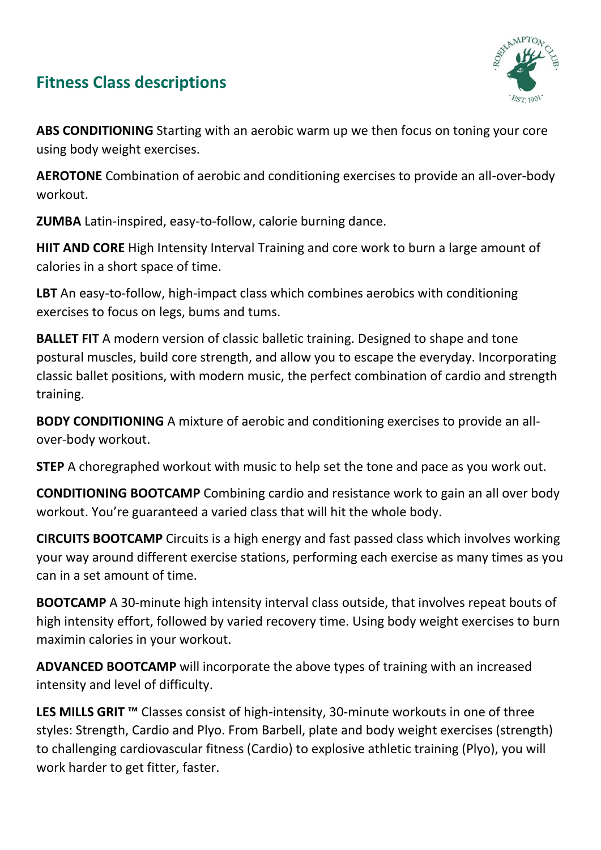## **Fitness Class descriptions**



**ABS CONDITIONING** Starting with an aerobic warm up we then focus on toning your core using body weight exercises.

**AEROTONE** Combination of aerobic and conditioning exercises to provide an all-over-body workout.

**ZUMBA** Latin-inspired, easy-to-follow, calorie burning dance.

**HIIT AND CORE** High Intensity Interval Training and core work to burn a large amount of calories in a short space of time.

**LBT** An easy-to-follow, high-impact class which combines aerobics with conditioning exercises to focus on legs, bums and tums.

**BALLET FIT** A modern version of classic balletic training. Designed to shape and tone postural muscles, build core strength, and allow you to escape the everyday. Incorporating classic ballet positions, with modern music, the perfect combination of cardio and strength training.

**BODY CONDITIONING** A mixture of aerobic and conditioning exercises to provide an allover-body workout.

**STEP** A choregraphed workout with music to help set the tone and pace as you work out.

**CONDITIONING BOOTCAMP** Combining cardio and resistance work to gain an all over body workout. You're guaranteed a varied class that will hit the whole body.

**CIRCUITS BOOTCAMP** Circuits is a high energy and fast passed class which involves working your way around different exercise stations, performing each exercise as many times as you can in a set amount of time.

**BOOTCAMP** A 30-minute high intensity interval class outside, that involves repeat bouts of high intensity effort, followed by varied recovery time. Using body weight exercises to burn maximin calories in your workout.

**ADVANCED BOOTCAMP** will incorporate the above types of training with an increased intensity and level of difficulty.

**LES MILLS GRIT ™** Classes consist of high-intensity, 30-minute workouts in one of three styles: Strength, Cardio and Plyo. From Barbell, plate and body weight exercises (strength) to challenging cardiovascular fitness (Cardio) to explosive athletic training (Plyo), you will work harder to get fitter, faster.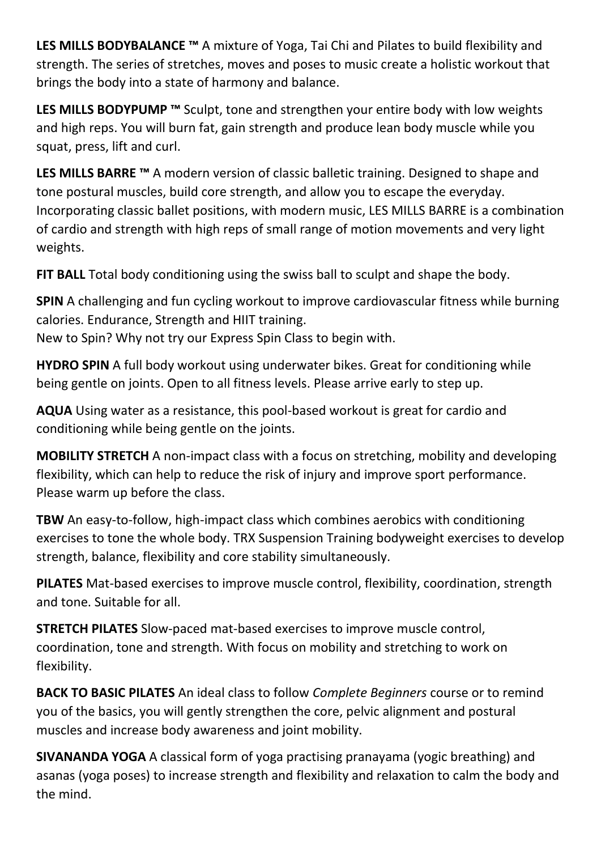**LES MILLS BODYBALANCE ™** A mixture of Yoga, Tai Chi and Pilates to build flexibility and strength. The series of stretches, moves and poses to music create a holistic workout that brings the body into a state of harmony and balance.

**LES MILLS BODYPUMP ™** Sculpt, tone and strengthen your entire body with low weights and high reps. You will burn fat, gain strength and produce lean body muscle while you squat, press, lift and curl.

**LES MILLS BARRE ™** A modern version of classic balletic training. Designed to shape and tone postural muscles, build core strength, and allow you to escape the everyday. Incorporating classic ballet positions, with modern music, LES MILLS BARRE is a combination of cardio and strength with high reps of small range of motion movements and very light weights.

**FIT BALL** Total body conditioning using the swiss ball to sculpt and shape the body.

**SPIN** A challenging and fun cycling workout to improve cardiovascular fitness while burning calories. Endurance, Strength and HIIT training.

New to Spin? Why not try our Express Spin Class to begin with.

**HYDRO SPIN** A full body workout using underwater bikes. Great for conditioning while being gentle on joints. Open to all fitness levels. Please arrive early to step up.

**AQUA** Using water as a resistance, this pool-based workout is great for cardio and conditioning while being gentle on the joints.

**MOBILITY STRETCH** A non-impact class with a focus on stretching, mobility and developing flexibility, which can help to reduce the risk of injury and improve sport performance. Please warm up before the class.

**TBW** An easy-to-follow, high-impact class which combines aerobics with conditioning exercises to tone the whole body. TRX Suspension Training bodyweight exercises to develop strength, balance, flexibility and core stability simultaneously.

**PILATES** Mat-based exercises to improve muscle control, flexibility, coordination, strength and tone. Suitable for all.

**STRETCH PILATES** Slow-paced mat-based exercises to improve muscle control, coordination, tone and strength. With focus on mobility and stretching to work on flexibility.

**BACK TO BASIC PILATES** An ideal class to follow *Complete Beginners* course or to remind you of the basics, you will gently strengthen the core, pelvic alignment and postural muscles and increase body awareness and joint mobility.

**SIVANANDA YOGA** A classical form of yoga practising pranayama (yogic breathing) and asanas (yoga poses) to increase strength and flexibility and relaxation to calm the body and the mind.